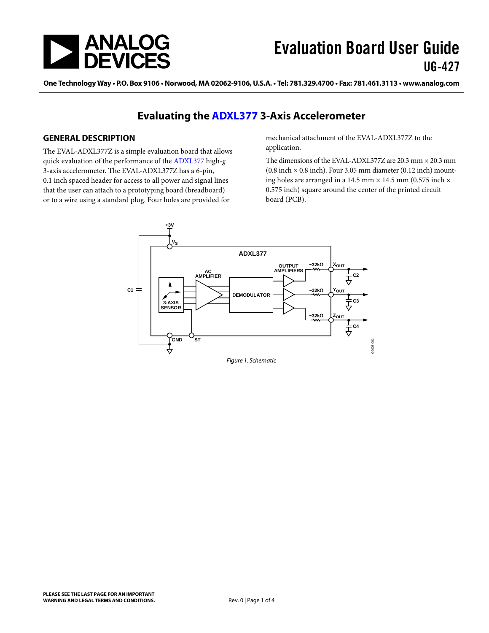

One Technology Way . P.O. Box 9106 . Norwood, MA 02062-9106, U.S.A. . Tel: 781.329.4700 . Fax: 781.461.3113 . www.analog.com

### **Evaluating the [ADXL377](http://www.analog.com/ADXL377) 3-Axis Accelerometer**

#### <span id="page-0-0"></span>**GENERAL DESCRIPTION**

The EVAL-ADXL377Z is a simple evaluation board that allows quick evaluation of the performance of th[e ADXL377](http://www.analog.com/adxl377) high-*g* 3-axis accelerometer. The EVAL-ADXL377Z has a 6-pin, 0.1 inch spaced header for access to all power and signal lines that the user can attach to a prototyping board (breadboard) or to a wire using a standard plug. Four holes are provided for

mechanical attachment of the EVAL-ADXL377Z to the application.

The dimensions of the EVAL-ADXL377Z are 20.3 mm × 20.3 mm  $(0.8$  inch  $\times$  0.8 inch). Four 3.05 mm diameter  $(0.12$  inch) mounting holes are arranged in a 14.5 mm  $\times$  14.5 mm (0.575 inch  $\times$ 0.575 inch) square around the center of the printed circuit board (PCB).

<span id="page-0-1"></span>

*Figure 1. Schematic*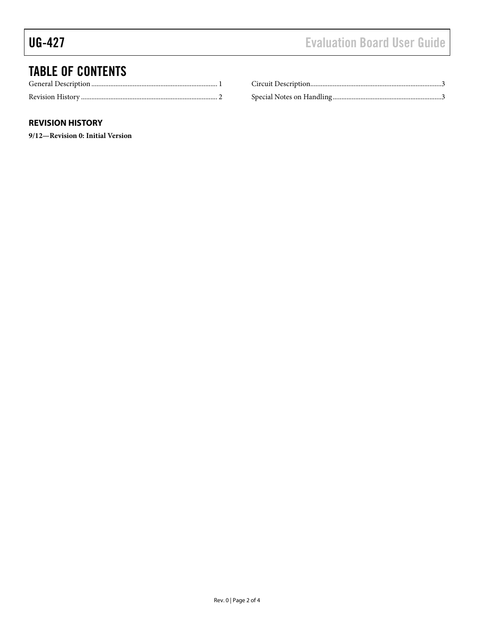# TABLE OF CONTENTS

#### <span id="page-1-0"></span>**REVISION HISTORY**

**9/12—Revision 0: Initial Version**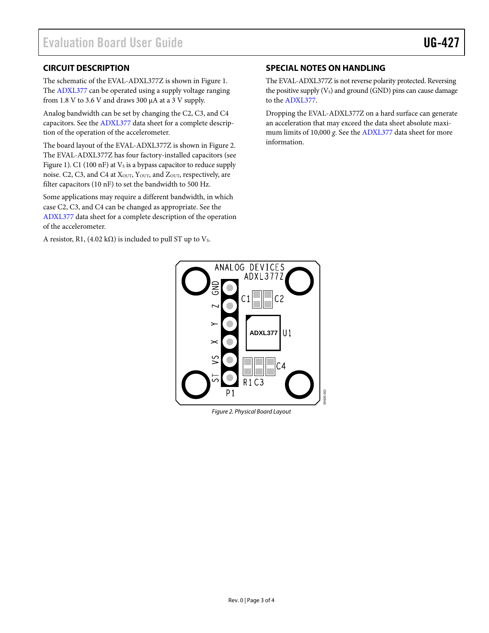#### <span id="page-2-0"></span>**CIRCUIT DESCRIPTION**

The schematic of the EVAL-ADXL377Z is shown in [Figure 1.](#page-0-1) The [ADXL377](http://www.analog.com/adxl377) can be operated using a supply voltage ranging from 1.8 V to 3.6 V and draws 300 µA at a 3 V supply.

Analog bandwidth can be set by changing the C2, C3, and C4 capacitors. See th[e ADXL377](http://www.analog.com/adxl377) data sheet for a complete description of the operation of the accelerometer.

The board layout of the EVAL-ADXL377Z is shown in [Figure 2.](#page-2-2) The EVAL-ADXL377Z has four factory-installed capacitors (see [Figure 1\)](#page-0-1). C1 (100 nF) at  $V_s$  is a bypass capacitor to reduce supply noise. C2, C3, and C4 at X<sub>OUT</sub>, Y<sub>OUT</sub>, and Z<sub>OUT</sub>, respectively, are filter capacitors (10 nF) to set the bandwidth to 500 Hz.

Some applications may require a different bandwidth, in which case C2, C3, and C4 can be changed as appropriate. See the [ADXL377](http://www.analog.com/adxl377) data sheet for a complete description of the operation of the accelerometer.

A resistor, R1, (4.02 k $\Omega$ ) is included to pull ST up to Vs.

#### <span id="page-2-1"></span>**SPECIAL NOTES ON HANDLING**

The EVAL-ADXL377Z is not reverse polarity protected. Reversing the positive supply  $(V_s)$  and ground (GND) pins can cause damage to the [ADXL377.](http://www.analog.com/adxl377) 

Dropping the EVAL-ADXL377Z on a hard surface can generate an acceleration that may exceed the data sheet absolute maximum limits of 10,000 *g*. See th[e ADXL377](http://www.analog.com/adxl377) data sheet for more information.



<span id="page-2-2"></span>*Figure 2. Physical Board Layout*